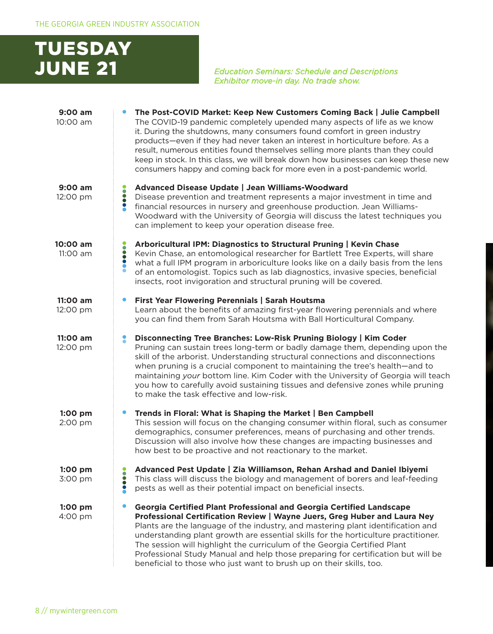

*Education Seminars: Schedule and Descriptions Exhibitor move-in day. No trade show.*

| $9:00$ am<br>10:00 am |           | The Post-COVID Market: Keep New Customers Coming Back   Julie Campbell<br>The COVID-19 pandemic completely upended many aspects of life as we know<br>it. During the shutdowns, many consumers found comfort in green industry<br>products—even if they had never taken an interest in horticulture before. As a<br>result, numerous entities found themselves selling more plants than they could<br>keep in stock. In this class, we will break down how businesses can keep these new<br>consumers happy and coming back for more even in a post-pandemic world. |
|-----------------------|-----------|---------------------------------------------------------------------------------------------------------------------------------------------------------------------------------------------------------------------------------------------------------------------------------------------------------------------------------------------------------------------------------------------------------------------------------------------------------------------------------------------------------------------------------------------------------------------|
| 9:00 am<br>12:00 pm   |           | Advanced Disease Update   Jean Williams-Woodward<br>Disease prevention and treatment represents a major investment in time and<br>financial resources in nursery and greenhouse production. Jean Williams-<br>Woodward with the University of Georgia will discuss the latest techniques you<br>can implement to keep your operation disease free.                                                                                                                                                                                                                  |
| 10:00 am<br>11:00 am  | 8         | Arboricultural IPM: Diagnostics to Structural Pruning   Kevin Chase<br>Kevin Chase, an entomological researcher for Bartlett Tree Experts, will share<br>what a full IPM program in arboriculture looks like on a daily basis from the lens<br>of an entomologist. Topics such as lab diagnostics, invasive species, beneficial<br>insects, root invigoration and structural pruning will be covered.                                                                                                                                                               |
| 11:00 am<br>12:00 pm  |           | First Year Flowering Perennials   Sarah Houtsma<br>Learn about the benefits of amazing first-year flowering perennials and where<br>you can find them from Sarah Houtsma with Ball Horticultural Company.                                                                                                                                                                                                                                                                                                                                                           |
| 11:00 am<br>12:00 pm  |           | Disconnecting Tree Branches: Low-Risk Pruning Biology   Kim Coder<br>Pruning can sustain trees long-term or badly damage them, depending upon the<br>skill of the arborist. Understanding structural connections and disconnections<br>when pruning is a crucial component to maintaining the tree's health—and to<br>maintaining your bottom line. Kim Coder with the University of Georgia will teach<br>you how to carefully avoid sustaining tissues and defensive zones while pruning<br>to make the task effective and low-risk.                              |
| $1:00$ pm<br>2:00 pm  |           | Trends in Floral: What is Shaping the Market   Ben Campbell<br>This session will focus on the changing consumer within floral, such as consumer<br>demographics, consumer preferences, means of purchasing and other trends.<br>Discussion will also involve how these changes are impacting businesses and<br>how best to be proactive and not reactionary to the market.                                                                                                                                                                                          |
| $1:00$ pm<br>3:00 pm  | $\bullet$ | Advanced Pest Update   Zia Williamson, Rehan Arshad and Daniel Ibiyemi<br>This class will discuss the biology and management of borers and leaf-feeding<br>pests as well as their potential impact on beneficial insects.                                                                                                                                                                                                                                                                                                                                           |
| $1:00$ pm<br>4:00 pm  |           | Georgia Certified Plant Professional and Georgia Certified Landscape<br>Professional Certification Review   Wayne Juers, Greg Huber and Laura Ney<br>Plants are the language of the industry, and mastering plant identification and<br>understanding plant growth are essential skills for the horticulture practitioner.<br>The session will highlight the curriculum of the Georgia Certified Plant<br>Professional Study Manual and help those preparing for certification but will be<br>beneficial to those who just want to brush up on their skills, too.   |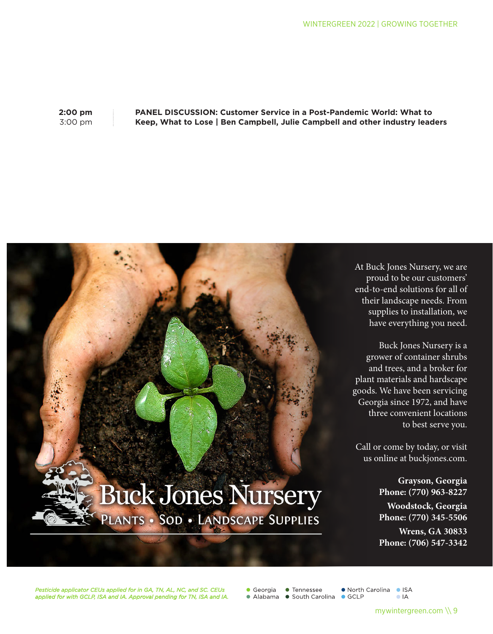**2:00 pm** 3:00 pm

## **PANEL DISCUSSION: Customer Service in a Post-Pandemic World: What to Keep, What to Lose | Ben Campbell, Julie Campbell and other industry leaders**



*Pesticide applicator CEUs applied for in GA, TN, AL, NC, and SC. CEUs applied for with GCLP, ISA and IA. Approval pending for TN, ISA and IA.*

 $\bullet$  Georgia • Tennessee • Alabama • South Carolina • GCLP

● North Carolina ● ISA  $\bullet$  IA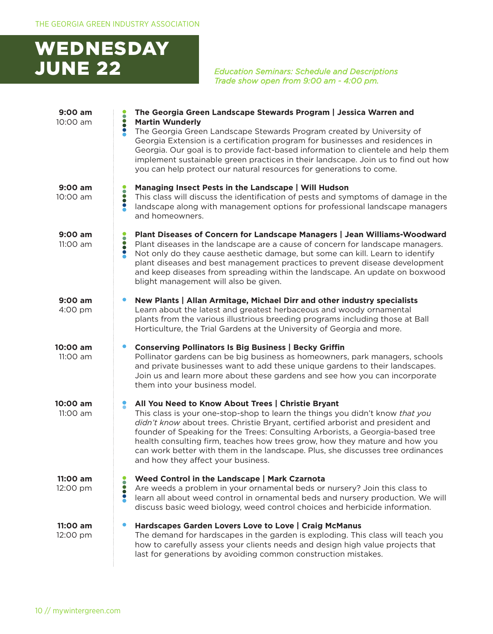## WEDNESDAY JUNE 22 *Education Seminars: Schedule and Descriptions*

*Trade show open from 9:00 am - 4:00 pm.*

| $9:00$ am<br>10:00 am | The Georgia Green Landscape Stewards Program   Jessica Warren and<br><br><b>Martin Wunderly</b>                                                                                                                                                                                                                                                                                                                                                                                                                     |
|-----------------------|---------------------------------------------------------------------------------------------------------------------------------------------------------------------------------------------------------------------------------------------------------------------------------------------------------------------------------------------------------------------------------------------------------------------------------------------------------------------------------------------------------------------|
|                       | The Georgia Green Landscape Stewards Program created by University of<br>Georgia Extension is a certification program for businesses and residences in<br>Georgia. Our goal is to provide fact-based information to clientele and help them<br>implement sustainable green practices in their landscape. Join us to find out how<br>you can help protect our natural resources for generations to come.                                                                                                             |
| $9:00$ am<br>10:00 am | Managing Insect Pests in the Landscape   Will Hudson<br><b>PODD</b><br>This class will discuss the identification of pests and symptoms of damage in the<br>landscape along with management options for professional landscape managers<br>and homeowners.                                                                                                                                                                                                                                                          |
| $9:00$ am<br>11:00 am | Plant Diseases of Concern for Landscape Managers   Jean Williams-Woodward<br><b></b><br>Plant diseases in the landscape are a cause of concern for landscape managers.<br>Not only do they cause aesthetic damage, but some can kill. Learn to identify<br>plant diseases and best management practices to prevent disease development<br>and keep diseases from spreading within the landscape. An update on boxwood<br>blight management will also be given.                                                      |
| 9:00 am<br>4:00 pm    | New Plants   Allan Armitage, Michael Dirr and other industry specialists<br>$\bullet$<br>Learn about the latest and greatest herbaceous and woody ornamental<br>plants from the various illustrious breeding programs including those at Ball<br>Horticulture, the Trial Gardens at the University of Georgia and more.                                                                                                                                                                                             |
| 10:00 am<br>11:00 am  | <b>Conserving Pollinators Is Big Business   Becky Griffin</b><br>$\bullet$<br>Pollinator gardens can be big business as homeowners, park managers, schools<br>and private businesses want to add these unique gardens to their landscapes.<br>Join us and learn more about these gardens and see how you can incorporate<br>them into your business model.                                                                                                                                                          |
| 10:00 am<br>11:00 am  | :<br>All You Need to Know About Trees   Christie Bryant<br>This class is your one-stop-shop to learn the things you didn't know that you<br>didn't know about trees. Christie Bryant, certified arborist and president and<br>founder of Speaking for the Trees: Consulting Arborists, a Georgia-based tree<br>health consulting firm, teaches how trees grow, how they mature and how you<br>can work better with them in the landscape. Plus, she discusses tree ordinances<br>and how they affect your business. |
| 11:00 am<br>12:00 pm  | Weed Control in the Landscape   Mark Czarnota<br><b></b><br>Are weeds a problem in your ornamental beds or nursery? Join this class to<br>learn all about weed control in ornamental beds and nursery production. We will<br>discuss basic weed biology, weed control choices and herbicide information.                                                                                                                                                                                                            |
| 11:00 am<br>12:00 pm  | Hardscapes Garden Lovers Love to Love   Craig McManus<br>The demand for hardscapes in the garden is exploding. This class will teach you<br>how to carefully assess your clients needs and design high value projects that<br>last for generations by avoiding common construction mistakes.                                                                                                                                                                                                                        |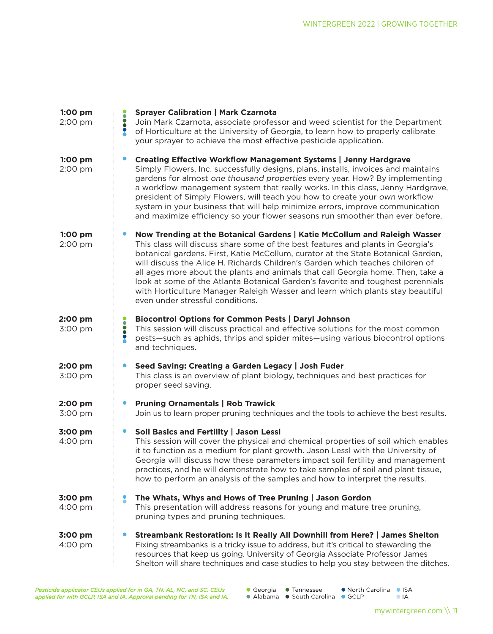| 1:00 pm<br>2:00 pm | <b>Sprayer Calibration   Mark Czarnota</b><br>Join Mark Czarnota, associate professor and weed scientist for the Department<br>of Horticulture at the University of Georgia, to learn how to properly calibrate<br>your sprayer to achieve the most effective pesticide application.                                                                                                                                                                                                                                                                                                                                           |
|--------------------|--------------------------------------------------------------------------------------------------------------------------------------------------------------------------------------------------------------------------------------------------------------------------------------------------------------------------------------------------------------------------------------------------------------------------------------------------------------------------------------------------------------------------------------------------------------------------------------------------------------------------------|
| 1:00 pm<br>2:00 pm | <b>Creating Effective Workflow Management Systems   Jenny Hardgrave</b><br>$\bullet$<br>Simply Flowers, Inc. successfully designs, plans, installs, invoices and maintains<br>gardens for almost one thousand properties every year. How? By implementing<br>a workflow management system that really works. In this class, Jenny Hardgrave,<br>president of Simply Flowers, will teach you how to create your own workflow<br>system in your business that will help minimize errors, improve communication<br>and maximize efficiency so your flower seasons run smoother than ever before.                                  |
| 1:00 pm<br>2:00 pm | Now Trending at the Botanical Gardens   Katie McCollum and Raleigh Wasser<br>This class will discuss share some of the best features and plants in Georgia's<br>botanical gardens. First, Katie McCollum, curator at the State Botanical Garden,<br>will discuss the Alice H. Richards Children's Garden which teaches children of<br>all ages more about the plants and animals that call Georgia home. Then, take a<br>look at some of the Atlanta Botanical Garden's favorite and toughest perennials<br>with Horticulture Manager Raleigh Wasser and learn which plants stay beautiful<br>even under stressful conditions. |
| 2:00 pm<br>3:00 pm | <b>Biocontrol Options for Common Pests   Daryl Johnson</b><br><b>OOO</b><br>This session will discuss practical and effective solutions for the most common<br>pests-such as aphids, thrips and spider mites-using various biocontrol options<br>and techniques.                                                                                                                                                                                                                                                                                                                                                               |
| 2:00 pm<br>3:00 pm | Seed Saving: Creating a Garden Legacy   Josh Fuder<br>$\bullet$<br>This class is an overview of plant biology, techniques and best practices for<br>proper seed saving.                                                                                                                                                                                                                                                                                                                                                                                                                                                        |
| 2:00 pm<br>3:00 pm | <b>Pruning Ornamentals   Rob Trawick</b><br>$\bullet$<br>Join us to learn proper pruning techniques and the tools to achieve the best results.                                                                                                                                                                                                                                                                                                                                                                                                                                                                                 |
| 3:00 pm<br>4:00 pm | Soil Basics and Fertility   Jason Lessl<br>$\bullet$<br>This session will cover the physical and chemical properties of soil which enables<br>it to function as a medium for plant growth. Jason Lessl with the University of<br>Georgia will discuss how these parameters impact soil fertility and management<br>practices, and he will demonstrate how to take samples of soil and plant tissue,<br>how to perform an analysis of the samples and how to interpret the results.                                                                                                                                             |
| 3:00 pm<br>4:00 pm | The Whats, Whys and Hows of Tree Pruning   Jason Gordon<br>2<br>This presentation will address reasons for young and mature tree pruning,<br>pruning types and pruning techniques.                                                                                                                                                                                                                                                                                                                                                                                                                                             |
| 3:00 pm<br>4:00 pm | Streambank Restoration: Is It Really All Downhill from Here?   James Shelton<br>Fixing streambanks is a tricky issue to address, but it's critical to stewarding the<br>resources that keep us going. University of Georgia Associate Professor James<br>Shelton will share techniques and case studies to help you stay between the ditches.                                                                                                                                                                                                                                                                                  |

*Pesticide applicator CEUs applied for in GA, TN, AL, NC, and SC. CEUs applied for with GCLP, ISA and IA. Approval pending for TN, ISA and IA.*

- Georgia Tennessee • North Carolina • ISA • Alabama • South Carolina • GCLP
	- $\bullet$  IA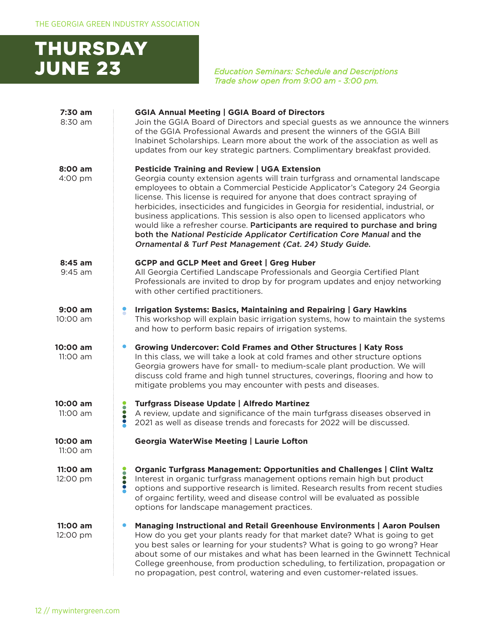## THURSDAY JUNE 23 *Education Seminars: Schedule and Descriptions*

*Trade show open from 9:00 am - 3:00 pm.*

| 7:30 am<br>8:30 am     | <b>GGIA Annual Meeting   GGIA Board of Directors</b><br>Join the GGIA Board of Directors and special guests as we announce the winners<br>of the GGIA Professional Awards and present the winners of the GGIA Bill<br>Inabinet Scholarships. Learn more about the work of the association as well as<br>updates from our key strategic partners. Complimentary breakfast provided.                                                                                                                                                                                                                                                                                                                  |
|------------------------|-----------------------------------------------------------------------------------------------------------------------------------------------------------------------------------------------------------------------------------------------------------------------------------------------------------------------------------------------------------------------------------------------------------------------------------------------------------------------------------------------------------------------------------------------------------------------------------------------------------------------------------------------------------------------------------------------------|
| 8:00 am<br>4:00 pm     | <b>Pesticide Training and Review   UGA Extension</b><br>Georgia county extension agents will train turfgrass and ornamental landscape<br>employees to obtain a Commercial Pesticide Applicator's Category 24 Georgia<br>license. This license is required for anyone that does contract spraying of<br>herbicides, insecticides and fungicides in Georgia for residential, industrial, or<br>business applications. This session is also open to licensed applicators who<br>would like a refresher course. Participants are required to purchase and bring<br>both the National Pesticide Applicator Certification Core Manual and the<br>Ornamental & Turf Pest Management (Cat. 24) Study Guide. |
| $8:45$ am<br>$9:45$ am | <b>GCPP and GCLP Meet and Greet   Greg Huber</b><br>All Georgia Certified Landscape Professionals and Georgia Certified Plant<br>Professionals are invited to drop by for program updates and enjoy networking<br>with other certified practitioners.                                                                                                                                                                                                                                                                                                                                                                                                                                               |
| $9:00$ am<br>10:00 am  | Irrigation Systems: Basics, Maintaining and Repairing   Gary Hawkins<br>This workshop will explain basic irrigation systems, how to maintain the systems<br>and how to perform basic repairs of irrigation systems.                                                                                                                                                                                                                                                                                                                                                                                                                                                                                 |
| 10:00 am<br>11:00 am   | Growing Undercover: Cold Frames and Other Structures   Katy Ross<br>In this class, we will take a look at cold frames and other structure options<br>Georgia growers have for small- to medium-scale plant production. We will<br>discuss cold frame and high tunnel structures, coverings, flooring and how to<br>mitigate problems you may encounter with pests and diseases.                                                                                                                                                                                                                                                                                                                     |
| 10:00 am<br>11:00 am   | <b>Turfgrass Disease Update   Alfredo Martinez</b><br><b>PODD</b><br>A review, update and significance of the main turfgrass diseases observed in<br>2021 as well as disease trends and forecasts for 2022 will be discussed.                                                                                                                                                                                                                                                                                                                                                                                                                                                                       |
| 10:00 am<br>11:00 am   | <b>Georgia WaterWise Meeting   Laurie Lofton</b>                                                                                                                                                                                                                                                                                                                                                                                                                                                                                                                                                                                                                                                    |
| 11:00 am<br>12:00 pm   | <b>Organic Turfgrass Management: Opportunities and Challenges   Clint Waltz</b><br>Interest in organic turfgrass management options remain high but product<br>options and supportive research is limited. Research results from recent studies<br>of orgainc fertility, weed and disease control will be evaluated as possible<br>options for landscape management practices.                                                                                                                                                                                                                                                                                                                      |
| 11:00 am<br>12:00 pm   | Managing Instructional and Retail Greenhouse Environments   Aaron Poulsen<br>How do you get your plants ready for that market date? What is going to get<br>you best sales or learning for your students? What is going to go wrong? Hear<br>about some of our mistakes and what has been learned in the Gwinnett Technical<br>College greenhouse, from production scheduling, to fertilization, propagation or<br>no propagation, pest control, watering and even customer-related issues.                                                                                                                                                                                                         |